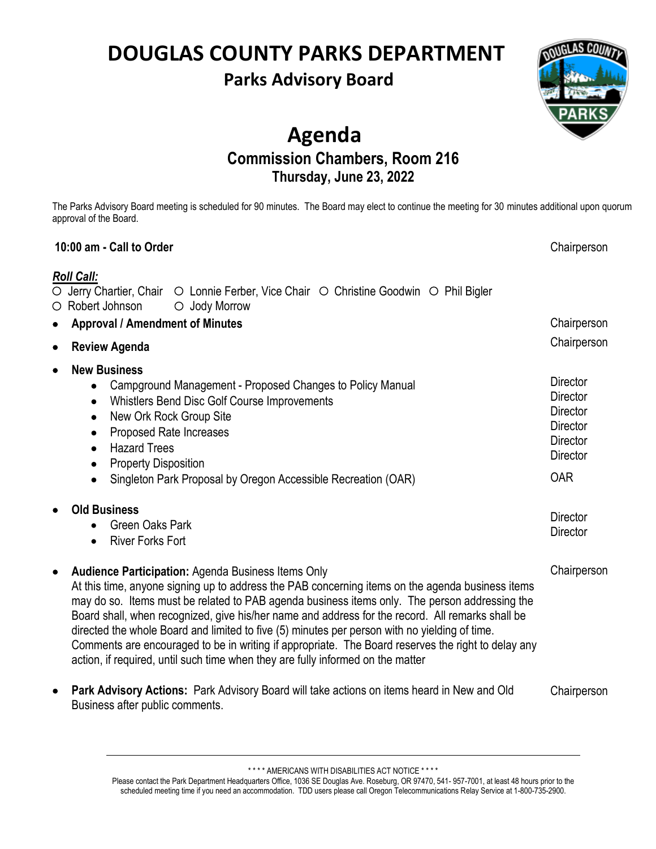# **DOUGLAS COUNTY PARKS DEPARTMENT**

### **Parks Advisory Board**



### **Agenda Commission Chambers, Room 216 Thursday, June 23, 2022**

The Parks Advisory Board meeting is scheduled for 90 minutes. The Board may elect to continue the meeting for 30 minutes additional upon quorum approval of the Board.

#### **10:00 am - Call to Order** *Roll Call:*  $\circ$  Jerry Chartier, Chair  $\circ$  Lonnie Ferber, Vice Chair  $\circ$  Christine Goodwin  $\circ$  Phil Bigler  $\circ$  Robert Johnson  $\circ$  Jody Morrow **Chairperson** • **Approval / Amendment of Minutes**  • **Review Agenda Chairperson Chairperson Director Director Director Director Director Director** OAR **Director Director** • **New Business** • Campground Management - Proposed Changes to Policy Manual • Whistlers Bend Disc Golf Course Improvements • New Ork Rock Group Site • Proposed Rate Increases • Hazard Trees **Property Disposition** • Singleton Park Proposal by Oregon Accessible Recreation (OAR) • **Old Business** • Green Oaks Park • River Forks Fort • **Audience Participation:** Agenda Business Items Only At this time, anyone signing up to address the PAB concerning items on the agenda business items may do so. Items must be related to PAB agenda business items only. The person addressing the Board shall, when recognized, give his/her name and address for the record. All remarks shall be directed the whole Board and limited to five (5) minutes per person with no yielding of time. Comments are encouraged to be in writing if appropriate. The Board reserves the right to delay any action, if required, until such time when they are fully informed on the matter • **Park Advisory Actions:** Park Advisory Board will take actions on items heard in New and Old Business after public comments. **Chairperson Chairperson**

\* \* \* \* AMERICANS WITH DISABILITIES ACT NOTICE \* \* \* \*

Please contact the Park Department Headquarters Office, 1036 SE Douglas Ave. Roseburg, OR 97470, 541- 957-7001, at least 48 hours prior to the scheduled meeting time if you need an accommodation. TDD users please call Oregon Telecommunications Relay Service at 1-800-735-2900.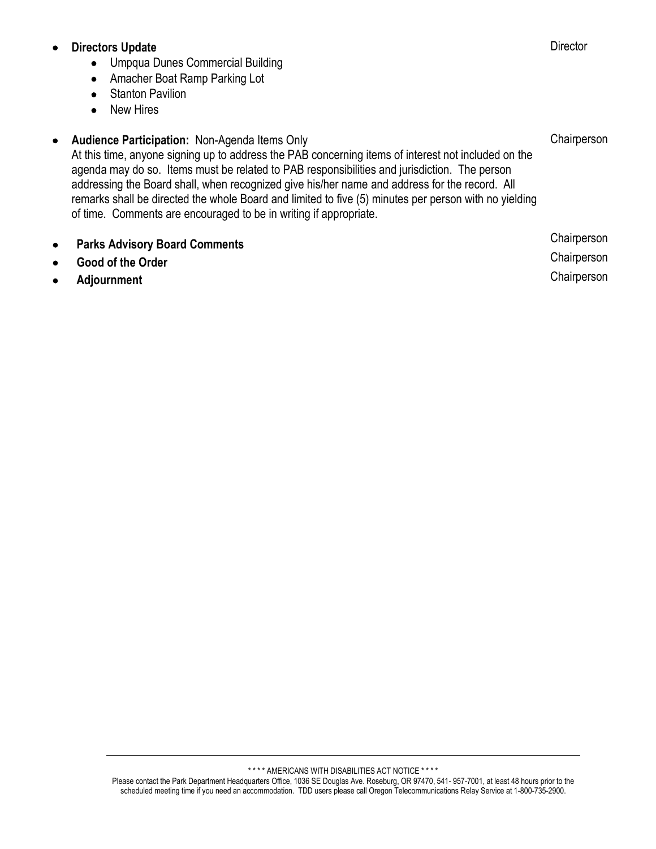### • **Directors Update**

- Umpqua Dunes Commercial Building
- Amacher Boat Ramp Parking Lot
- Stanton Pavilion
- New Hires
- **Audience Participation:** Non-Agenda Items Only At this time, anyone signing up to address the PAB concerning items of interest not included on the agenda may do so. Items must be related to PAB responsibilities and jurisdiction. The person addressing the Board shall, when recognized give his/her name and address for the record. All remarks shall be directed the whole Board and limited to five (5) minutes per person with no yielding of time. Comments are encouraged to be in writing if appropriate. **Chairperson**
- **Parks Advisory Board Comments** • **Good of the Order** • **Adjournment Chairperson Chairperson Chairperson**

\* \* \* \* AMERICANS WITH DISABILITIES ACT NOTICE \* \* \* \*

Please contact the Park Department Headquarters Office, 1036 SE Douglas Ave. Roseburg, OR 97470, 541- 957-7001, at least 48 hours prior to the scheduled meeting time if you need an accommodation. TDD users please call Oregon Telecommunications Relay Service at 1-800-735-2900.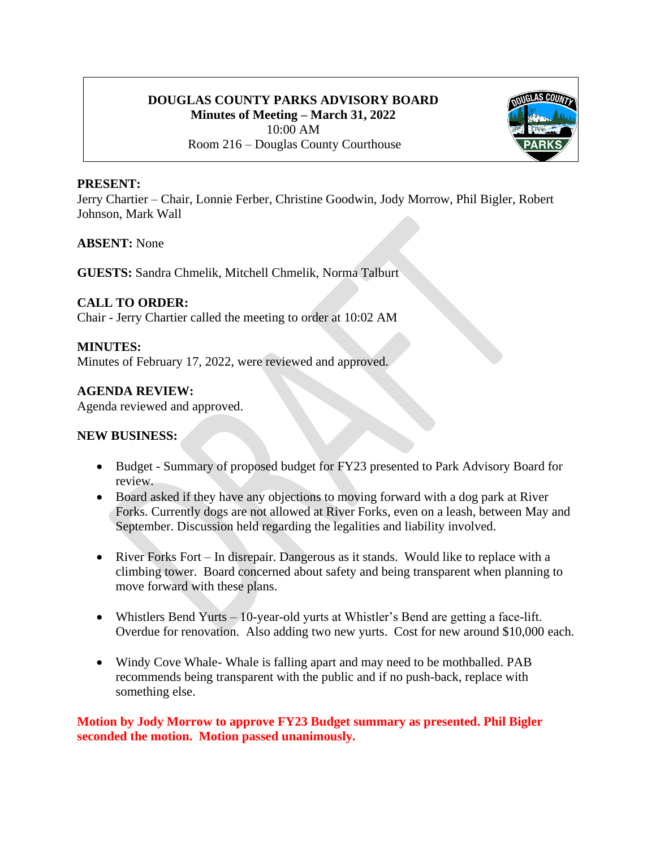### **DOUGLAS COUNTY PARKS ADVISORY BOARD Minutes of Meeting – March 31, 2022** 10:00 AM Room 216 – Douglas County Courthouse



#### **PRESENT:**

Jerry Chartier – Chair, Lonnie Ferber, Christine Goodwin, Jody Morrow, Phil Bigler, Robert Johnson, Mark Wall

#### **ABSENT:** None

**GUESTS:** Sandra Chmelik, Mitchell Chmelik, Norma Talburt

#### **CALL TO ORDER:**

Chair - Jerry Chartier called the meeting to order at 10:02 AM

#### **MINUTES:**

Minutes of February 17, 2022, were reviewed and approved.

#### **AGENDA REVIEW:**

Agenda reviewed and approved.

#### **NEW BUSINESS:**

- Budget Summary of proposed budget for FY23 presented to Park Advisory Board for review.
- Board asked if they have any objections to moving forward with a dog park at River Forks. Currently dogs are not allowed at River Forks, even on a leash, between May and September. Discussion held regarding the legalities and liability involved.
- River Forks Fort In disrepair. Dangerous as it stands. Would like to replace with a climbing tower. Board concerned about safety and being transparent when planning to move forward with these plans.
- Whistlers Bend Yurts 10-year-old yurts at Whistler's Bend are getting a face-lift. Overdue for renovation. Also adding two new yurts. Cost for new around \$10,000 each.
- Windy Cove Whale- Whale is falling apart and may need to be mothballed. PAB recommends being transparent with the public and if no push-back, replace with something else.

**Motion by Jody Morrow to approve FY23 Budget summary as presented. Phil Bigler seconded the motion. Motion passed unanimously.**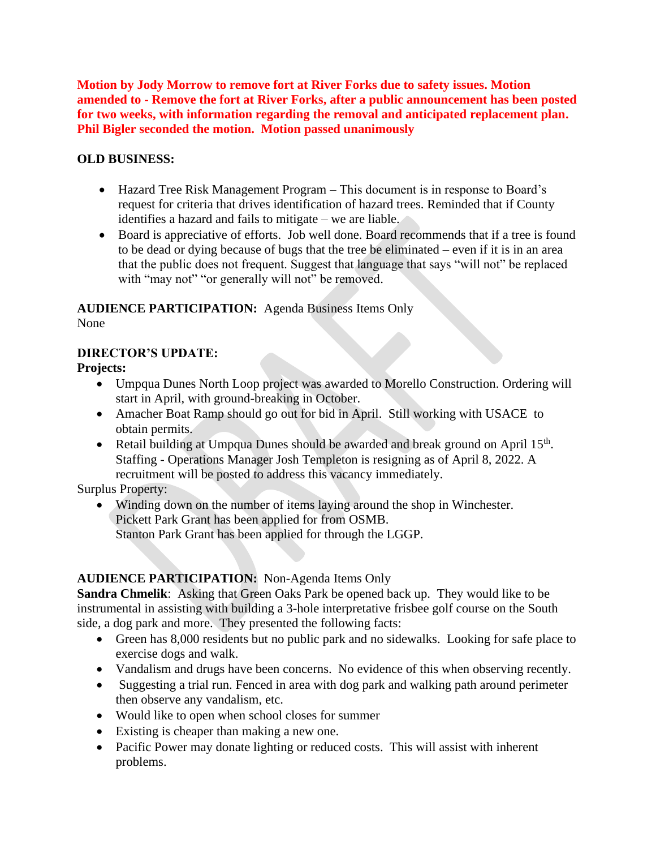**Motion by Jody Morrow to remove fort at River Forks due to safety issues. Motion amended to - Remove the fort at River Forks, after a public announcement has been posted for two weeks, with information regarding the removal and anticipated replacement plan. Phil Bigler seconded the motion. Motion passed unanimously**

### **OLD BUSINESS:**

- Hazard Tree Risk Management Program This document is in response to Board's request for criteria that drives identification of hazard trees. Reminded that if County identifies a hazard and fails to mitigate – we are liable.
- Board is appreciative of efforts. Job well done. Board recommends that if a tree is found to be dead or dying because of bugs that the tree be eliminated – even if it is in an area that the public does not frequent. Suggest that language that says "will not" be replaced with "may not" "or generally will not" be removed.

### **AUDIENCE PARTICIPATION:** Agenda Business Items Only

None

### **DIRECTOR'S UPDATE:**

**Projects:**

- Umpqua Dunes North Loop project was awarded to Morello Construction. Ordering will start in April, with ground-breaking in October.
- Amacher Boat Ramp should go out for bid in April. Still working with USACE to obtain permits.
- Retail building at Umpqua Dunes should be awarded and break ground on April 15<sup>th</sup>. Staffing - Operations Manager Josh Templeton is resigning as of April 8, 2022. A recruitment will be posted to address this vacancy immediately.

Surplus Property:

• Winding down on the number of items laying around the shop in Winchester. Pickett Park Grant has been applied for from OSMB. Stanton Park Grant has been applied for through the LGGP.

### **AUDIENCE PARTICIPATION:** Non-Agenda Items Only

**Sandra Chmelik**: Asking that Green Oaks Park be opened back up. They would like to be instrumental in assisting with building a 3-hole interpretative frisbee golf course on the South side, a dog park and more. They presented the following facts:

- Green has 8,000 residents but no public park and no sidewalks. Looking for safe place to exercise dogs and walk.
- Vandalism and drugs have been concerns. No evidence of this when observing recently.
- Suggesting a trial run. Fenced in area with dog park and walking path around perimeter then observe any vandalism, etc.
- Would like to open when school closes for summer
- Existing is cheaper than making a new one.
- Pacific Power may donate lighting or reduced costs. This will assist with inherent problems.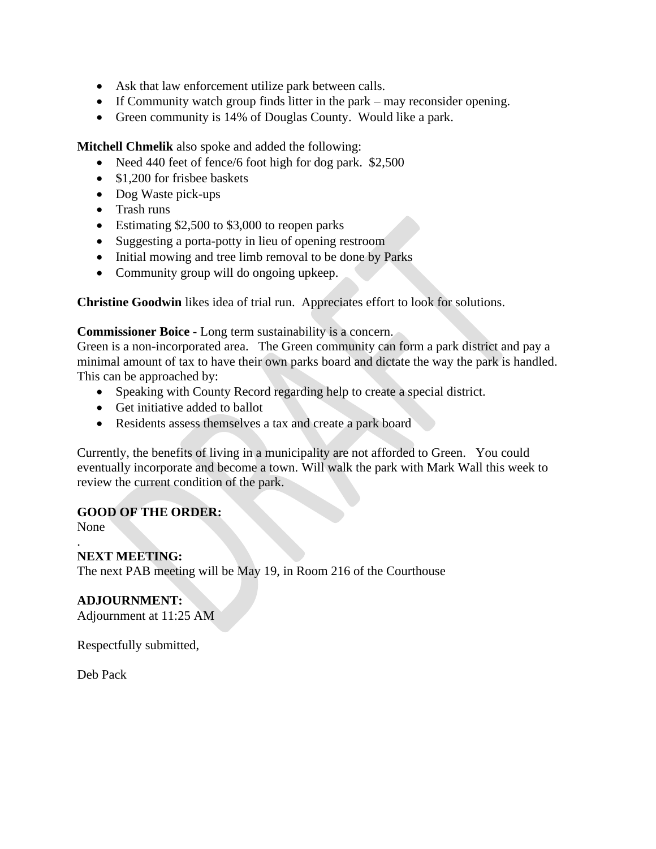- Ask that law enforcement utilize park between calls.
- If Community watch group finds litter in the park may reconsider opening.
- Green community is 14% of Douglas County. Would like a park.

**Mitchell Chmelik** also spoke and added the following:

- Need 440 feet of fence/6 foot high for dog park. \$2,500
- \$1,200 for frisbee baskets
- Dog Waste pick-ups
- Trash runs
- Estimating \$2,500 to \$3,000 to reopen parks
- Suggesting a porta-potty in lieu of opening restroom
- Initial mowing and tree limb removal to be done by Parks
- Community group will do ongoing upkeep.

**Christine Goodwin** likes idea of trial run. Appreciates effort to look for solutions.

#### **Commissioner Boice** - Long term sustainability is a concern.

Green is a non-incorporated area. The Green community can form a park district and pay a minimal amount of tax to have their own parks board and dictate the way the park is handled. This can be approached by:

- Speaking with County Record regarding help to create a special district.
- Get initiative added to ballot
- Residents assess themselves a tax and create a park board

Currently, the benefits of living in a municipality are not afforded to Green. You could eventually incorporate and become a town. Will walk the park with Mark Wall this week to review the current condition of the park.

#### **GOOD OF THE ORDER:**

None

.

#### **NEXT MEETING:**

The next PAB meeting will be May 19, in Room 216 of the Courthouse

#### **ADJOURNMENT:**

Adjournment at 11:25 AM

Respectfully submitted,

Deb Pack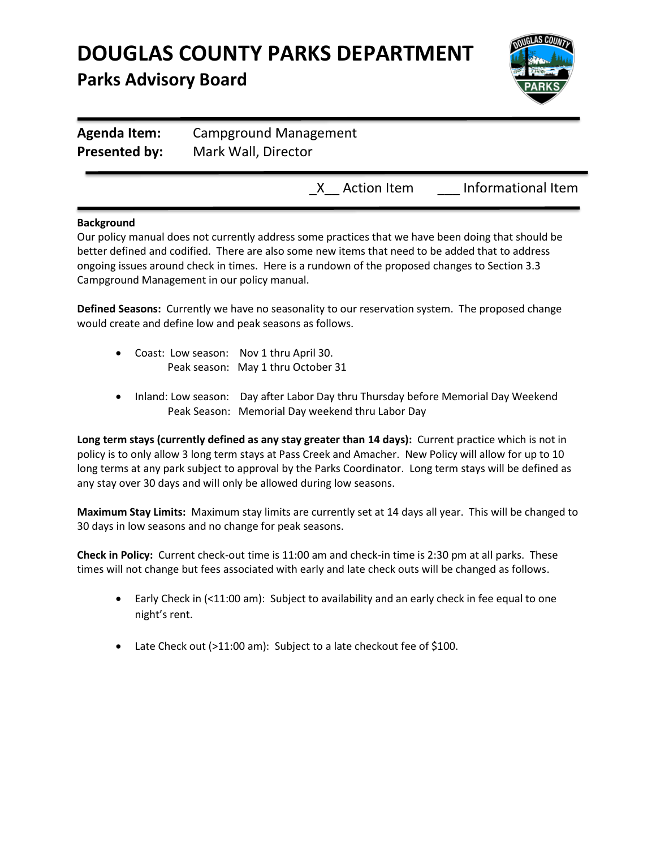

| <b>Agenda Item:</b>  | Campground Management |                    |  |  |  |
|----------------------|-----------------------|--------------------|--|--|--|
| <b>Presented by:</b> | Mark Wall, Director   |                    |  |  |  |
|                      | X Action Item         | Informational Item |  |  |  |

#### **Background**

Our policy manual does not currently address some practices that we have been doing that should be better defined and codified. There are also some new items that need to be added that to address ongoing issues around check in times. Here is a rundown of the proposed changes to Section 3.3 Campground Management in our policy manual.

**Defined Seasons:** Currently we have no seasonality to our reservation system. The proposed change would create and define low and peak seasons as follows.

- Coast: Low season: Nov 1 thru April 30. Peak season: May 1 thru October 31
- Inland: Low season: Day after Labor Day thru Thursday before Memorial Day Weekend Peak Season: Memorial Day weekend thru Labor Day

**Long term stays (currently defined as any stay greater than 14 days):** Current practice which is not in policy is to only allow 3 long term stays at Pass Creek and Amacher. New Policy will allow for up to 10 long terms at any park subject to approval by the Parks Coordinator. Long term stays will be defined as any stay over 30 days and will only be allowed during low seasons.

**Maximum Stay Limits:** Maximum stay limits are currently set at 14 days all year. This will be changed to 30 days in low seasons and no change for peak seasons.

**Check in Policy:** Current check-out time is 11:00 am and check-in time is 2:30 pm at all parks. These times will not change but fees associated with early and late check outs will be changed as follows.

- Early Check in (<11:00 am): Subject to availability and an early check in fee equal to one night's rent.
- Late Check out (>11:00 am): Subject to a late checkout fee of \$100.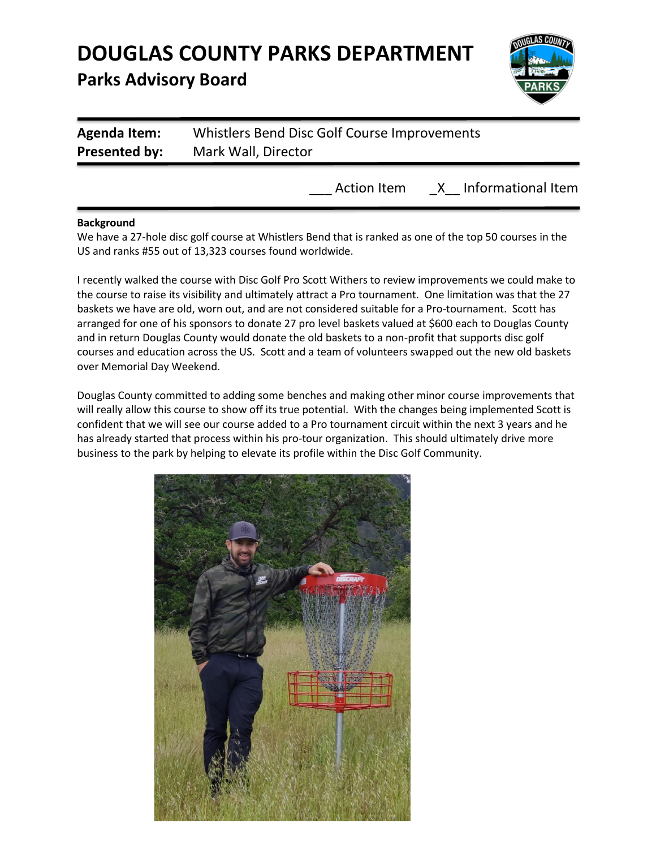

Action Item X Informational Item

| Presented by:       | Mark Wall, Director                          |
|---------------------|----------------------------------------------|
| <b>Agenda Item:</b> | Whistlers Bend Disc Golf Course Improvements |

#### **Background**

We have a 27-hole disc golf course at Whistlers Bend that is ranked as one of the top 50 courses in the US and ranks #55 out of 13,323 courses found worldwide.

I recently walked the course with Disc Golf Pro Scott Withers to review improvements we could make to the course to raise its visibility and ultimately attract a Pro tournament. One limitation was that the 27 baskets we have are old, worn out, and are not considered suitable for a Pro-tournament. Scott has arranged for one of his sponsors to donate 27 pro level baskets valued at \$600 each to Douglas County and in return Douglas County would donate the old baskets to a non-profit that supports disc golf courses and education across the US. Scott and a team of volunteers swapped out the new old baskets over Memorial Day Weekend.

Douglas County committed to adding some benches and making other minor course improvements that will really allow this course to show off its true potential. With the changes being implemented Scott is confident that we will see our course added to a Pro tournament circuit within the next 3 years and he has already started that process within his pro-tour organization. This should ultimately drive more business to the park by helping to elevate its profile within the Disc Golf Community.

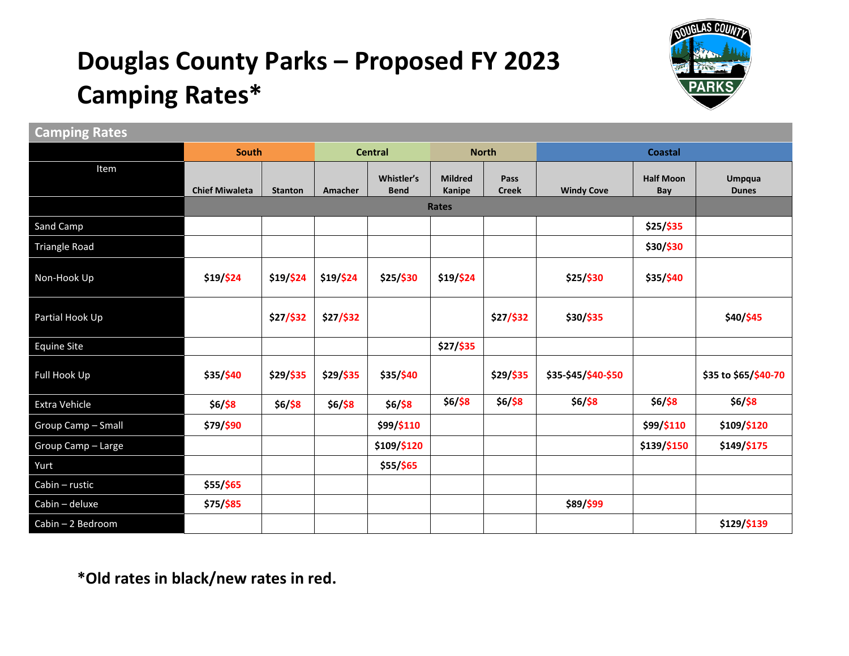# **Douglas County Parks – Proposed FY 2023 Camping Rates\***



### **Camping Rates**

|                      | <b>South</b>          |                | <b>Central</b> |                           | <b>North</b>             |                      | <b>Coastal</b>      |                         |                               |
|----------------------|-----------------------|----------------|----------------|---------------------------|--------------------------|----------------------|---------------------|-------------------------|-------------------------------|
| Item                 | <b>Chief Miwaleta</b> | <b>Stanton</b> | Amacher        | Whistler's<br><b>Bend</b> | <b>Mildred</b><br>Kanipe | Pass<br><b>Creek</b> | <b>Windy Cove</b>   | <b>Half Moon</b><br>Bay | <b>Umpqua</b><br><b>Dunes</b> |
|                      | <b>Rates</b>          |                |                |                           |                          |                      |                     |                         |                               |
| Sand Camp            |                       |                |                |                           |                          |                      |                     | \$25/\$35               |                               |
| <b>Triangle Road</b> |                       |                |                |                           |                          |                      |                     | \$30/\$30               |                               |
| Non-Hook Up          | \$19/\$24             | \$19/\$24      | $$19/$ \$24    | \$25/\$30                 | \$19/\$24                |                      | \$25/\$30           | \$35/\$40               |                               |
| Partial Hook Up      |                       | \$27/\$32      | \$27/\$32      |                           |                          | \$27/\$32            | \$30/\$35           |                         | \$40/\$45                     |
| <b>Equine Site</b>   |                       |                |                |                           | \$27/\$35                |                      |                     |                         |                               |
| Full Hook Up         | \$35/\$40             | \$29/\$35      | \$29/\$35      | \$35/\$40                 |                          | \$29/\$35            | \$35-\$45/\$40-\$50 |                         | \$35 to \$65/\$40-70          |
| Extra Vehicle        | $$6/$ \$8             | $$6/$ \$8      | $$6/$ \$8      | $$6/$ \$8                 | $$6/$ \$8                | $$6/$ \$8            | $$6/$ \$8           | $$6/$ \$8               | $$6/$ \$8                     |
| Group Camp - Small   | \$79/\$90             |                |                | \$99/\$110                |                          |                      |                     | \$99/\$110              | \$109/\$120                   |
| Group Camp - Large   |                       |                |                | \$109/\$120               |                          |                      |                     | \$139/\$150             | \$149/\$175                   |
| Yurt                 |                       |                |                | \$55/\$65                 |                          |                      |                     |                         |                               |
| Cabin - rustic       | \$55/\$65             |                |                |                           |                          |                      |                     |                         |                               |
| Cabin - deluxe       | \$75/\$85             |                |                |                           |                          |                      | \$89/\$99           |                         |                               |
| Cabin - 2 Bedroom    |                       |                |                |                           |                          |                      |                     |                         | \$129/\$139                   |

**\*Old rates in black/new rates in red.**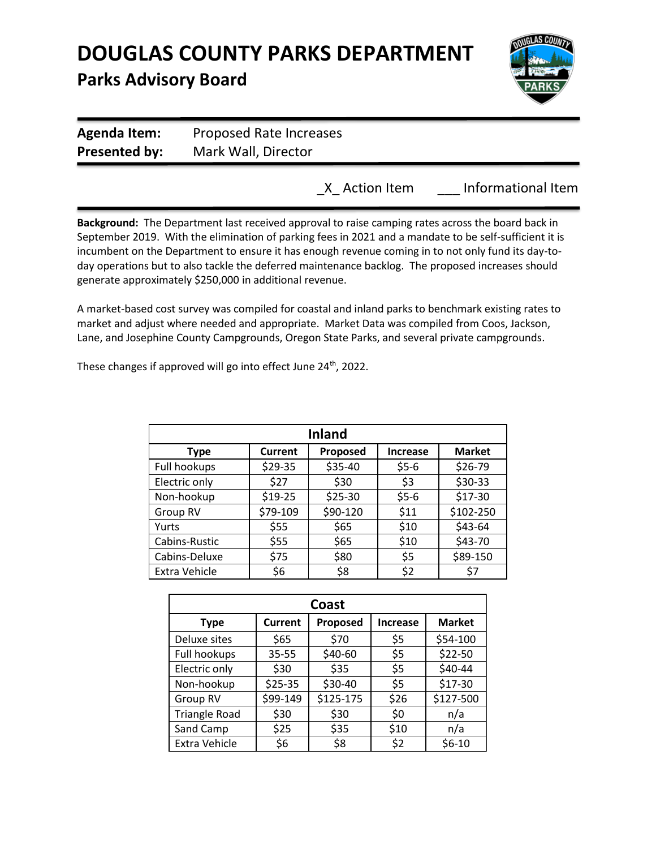

| <b>Agenda Item:</b>  | Proposed Rate Increases |
|----------------------|-------------------------|
| <b>Presented by:</b> | Mark Wall, Director     |
|                      |                         |

\_X\_ Action Item \_\_\_ Informational Item

**Background:** The Department last received approval to raise camping rates across the board back in September 2019.With the elimination of parking fees in 2021 and a mandate to be self-sufficient it is incumbent on the Department to ensure it has enough revenue coming in to not only fund its day-today operations but to also tackle the deferred maintenance backlog. The proposed increases should generate approximately \$250,000 in additional revenue.

A market-based cost survey was compiled for coastal and inland parks to benchmark existing rates to market and adjust where needed and appropriate. Market Data was compiled from Coos, Jackson, Lane, and Josephine County Campgrounds, Oregon State Parks, and several private campgrounds.

These changes if approved will go into effect June 24<sup>th</sup>, 2022.

| <b>Inland</b> |          |          |                 |               |  |  |
|---------------|----------|----------|-----------------|---------------|--|--|
| <b>Type</b>   | Current  | Proposed | <b>Increase</b> | <b>Market</b> |  |  |
| Full hookups  | \$29-35  | \$35-40  | $$5-6$          | \$26-79       |  |  |
| Electric only | \$27     | \$30     | \$3             | \$30-33       |  |  |
| Non-hookup    | \$19-25  | \$25-30  | $$5-6$          | $$17-30$      |  |  |
| Group RV      | \$79-109 | \$90-120 | \$11            | \$102-250     |  |  |
| Yurts         | \$55     | \$65     | \$10            | \$43-64       |  |  |
| Cabins-Rustic | \$55     | \$65     | \$10            | \$43-70       |  |  |
| Cabins-Deluxe | \$75     | \$80     | \$5             | \$89-150      |  |  |
| Extra Vehicle | \$6      | \$8      | \$2             | S7            |  |  |

| Coast                |                |           |                 |               |  |  |
|----------------------|----------------|-----------|-----------------|---------------|--|--|
| <b>Type</b>          | <b>Current</b> | Proposed  | <b>Increase</b> | <b>Market</b> |  |  |
| Deluxe sites         | \$65           | \$70      | \$5             | \$54-100      |  |  |
| Full hookups         | $35 - 55$      | \$40-60   | \$5             | \$22-50       |  |  |
| Electric only        | \$30           | \$35      | \$5             | \$40-44       |  |  |
| Non-hookup           | \$25-35        | \$30-40   | \$5             | $$17-30$      |  |  |
| Group RV             | \$99-149       | \$125-175 | \$26            | \$127-500     |  |  |
| <b>Triangle Road</b> | \$30           | \$30      | \$0             | n/a           |  |  |
| Sand Camp            | \$25           | \$35      | \$10            | n/a           |  |  |
| Extra Vehicle        | \$6            | \$8       | \$2             | $$6-10$       |  |  |